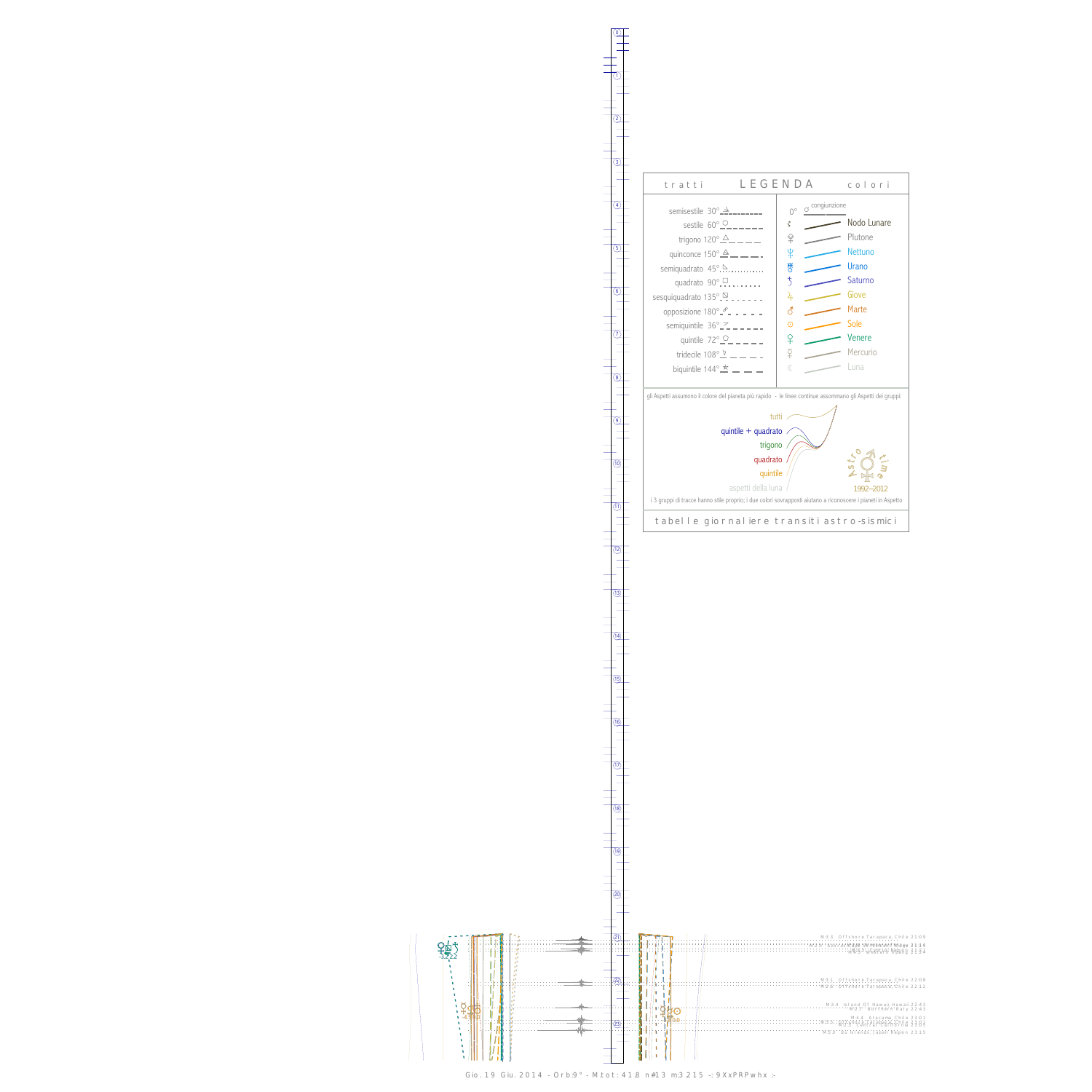$\zeta$